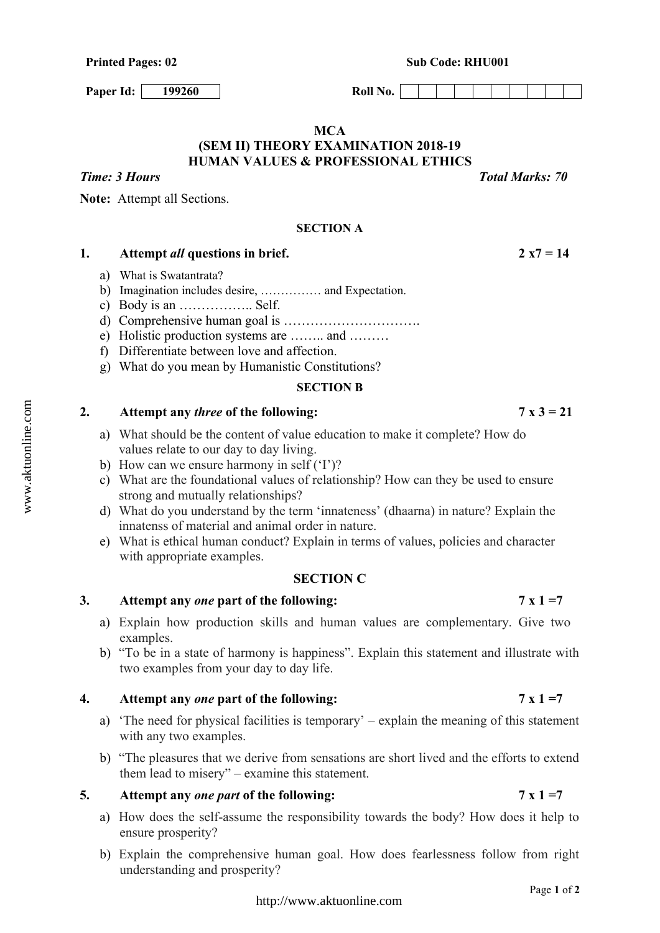**Paper Id:** 199260 **Roll No. Roll No.** 

# **MCA (SEM II) THEORY EXAMINATION 2018-19 HUMAN VALUES & PROFESSIONAL ETHICS**

**Note:** Attempt all Sections.

## **SECTION A**

# **1. Attempt** *all* **questions in brief. 2 x7 = 14**

- a) What is Swatantrata?
- b) Imagination includes desire, …………… and Expectation.
- c) Body is an …………….. Self.
- d) Comprehensive human goal is ………………………….
- e) Holistic production systems are …….. and ………
- f) Differentiate between love and affection.
- g) What do you mean by Humanistic Constitutions?

### **SECTION B**

## **2.** Attempt any *three* of the following:  $7 \times 3 = 21$

- a) What should be the content of value education to make it complete? How do values relate to our day to day living.
- b) How can we ensure harmony in self ('I')?
- c) What are the foundational values of relationship? How can they be used to ensure strong and mutually relationships?
- d) What do you understand by the term 'innateness' (dhaarna) in nature? Explain the innatenss of material and animal order in nature.
- e) What is ethical human conduct? Explain in terms of values, policies and character with appropriate examples.

## **SECTION C**

## **3. Attempt any** *one* **part of the following: 7 x 1 =7**

- a) Explain how production skills and human values are complementary. Give two examples.
- b) "To be in a state of harmony is happiness". Explain this statement and illustrate with two examples from your day to day life.

# **4. Attempt any** *one* **part of the following: 7 x 1 =7**

- a) 'The need for physical facilities is temporary' explain the meaning of this statement with any two examples.
- b) "The pleasures that we derive from sensations are short lived and the efforts to extend them lead to misery" – examine this statement.

## **5. Attempt any** *one part* **of the following: 7 x 1 =7**

- a) How does the self-assume the responsibility towards the body? How does it help to ensure prosperity?
- b) Explain the comprehensive human goal. How does fearlessness follow from right understanding and prosperity?

*Time: 3 Hours Total Marks: 70*